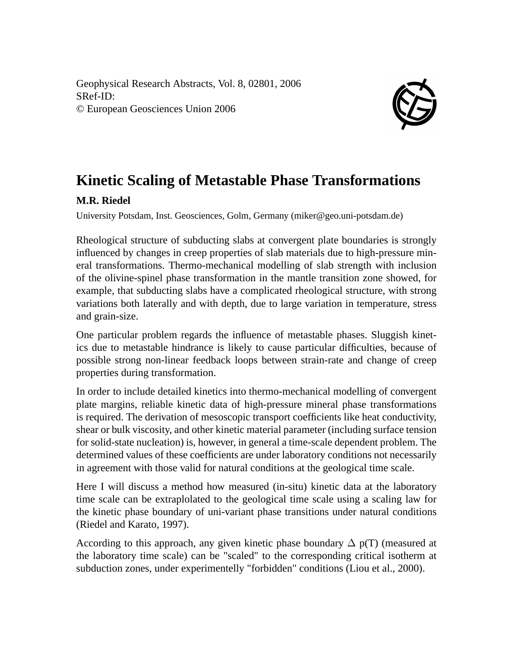Geophysical Research Abstracts, Vol. 8, 02801, 2006 SRef-ID: © European Geosciences Union 2006



## **Kinetic Scaling of Metastable Phase Transformations**

## **M.R. Riedel**

University Potsdam, Inst. Geosciences, Golm, Germany (miker@geo.uni-potsdam.de)

Rheological structure of subducting slabs at convergent plate boundaries is strongly influenced by changes in creep properties of slab materials due to high-pressure mineral transformations. Thermo-mechanical modelling of slab strength with inclusion of the olivine-spinel phase transformation in the mantle transition zone showed, for example, that subducting slabs have a complicated rheological structure, with strong variations both laterally and with depth, due to large variation in temperature, stress and grain-size.

One particular problem regards the influence of metastable phases. Sluggish kinetics due to metastable hindrance is likely to cause particular difficulties, because of possible strong non-linear feedback loops between strain-rate and change of creep properties during transformation.

In order to include detailed kinetics into thermo-mechanical modelling of convergent plate margins, reliable kinetic data of high-pressure mineral phase transformations is required. The derivation of mesoscopic transport coefficients like heat conductivity, shear or bulk viscosity, and other kinetic material parameter (including surface tension for solid-state nucleation) is, however, in general a time-scale dependent problem. The determined values of these coefficients are under laboratory conditions not necessarily in agreement with those valid for natural conditions at the geological time scale.

Here I will discuss a method how measured (in-situ) kinetic data at the laboratory time scale can be extraplolated to the geological time scale using a scaling law for the kinetic phase boundary of uni-variant phase transitions under natural conditions (Riedel and Karato, 1997).

According to this approach, any given kinetic phase boundary  $\Delta p(T)$  (measured at the laboratory time scale) can be "scaled" to the corresponding critical isotherm at subduction zones, under experimentelly "forbidden" conditions (Liou et al., 2000).